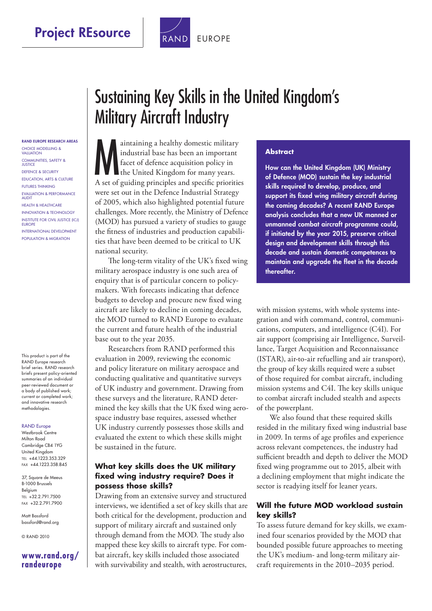

RAND FUROPE RESEARCH AREAS Choice Modelling & Valuation Communities, Safety & **JUSTICE** Defence & Security Education, Arts & Culture Futures thinking Evaluation & Performance **ALIDIT** Health & Healthcare Innovation & Technology Institute for Civil Justice (ICJ) **EUROPE** International Development Population & Migration

This product is part of the RAND Europe research brief series. RAND research briefs present policy-oriented summaries of an individual peer-reviewed document or a body of published work; current or completed work; and innovative research methodologies.

#### RAND Europe

Westbrook Centre Milton Road Cambridge CB4 1YG United Kingdom Tel +44.1223.353.329 Fax +44.1223.358.845

37, Square de Meeus B-1000 Brussels Belgium Tel +32.2.791.7500 Fax +32.2.791.7900

Matt Bassford [bassford@rand.org](mailto:bassford@rand.org)

© RAND 2010

#### **[www.rand.org/](http://www.rand.org/randeurope)  randeurope**

# Sustaining Key Skills in the United Kingdom's Military Aircraft Industry

M aintaining a healthy domestic military industrial base has been an important facet of defence acquisition policy in the United Kingdom for many years. A set of guiding principles and specific priorities were set out in the Defence Industrial Strategy of 2005, which also highlighted potential future challenges. More recently, the Ministry of Defence (MOD) has pursued a variety of studies to gauge the fitness of industries and production capabilities that have been deemed to be critical to UK national security.

The long-term vitality of the UK's fixed wing military aerospace industry is one such area of enquiry that is of particular concern to policymakers. With forecasts indicating that defence budgets to develop and procure new fixed wing aircraft are likely to decline in coming decades, the MOD turned to RAND Europe to evaluate the current and future health of the industrial base out to the year 2035.

Researchers from RAND performed this evaluation in 2009, reviewing the economic and policy literature on military aerospace and conducting qualitative and quantitative surveys of UK industry and government. Drawing from these surveys and the literature, RAND determined the key skills that the UK fixed wing aerospace industry base requires, assessed whether UK industry currently possesses those skills and evaluated the extent to which these skills might be sustained in the future.

### **What key skills does the UK military fixed wing industry require? Does it possess those skills?**

Drawing from an extensive survey and structured interviews, we identified a set of key skills that are both critical for the development, production and support of military aircraft and sustained only through demand from the MOD. The study also mapped these key skills to aircraft type. For combat aircraft, key skills included those associated with survivability and stealth, with aerostructures,

#### **Abstract**

How can the United Kingdom (UK) Ministry of Defence (MOD) sustain the key industrial skills required to develop, produce, and support its fixed wing military aircraft during the coming decades? A recent RAND Europe analysis concludes that a new UK manned or unmanned combat aircraft programme could, if initiated by the year 2015, preserve critical design and development skills through this decade and sustain domestic competences to maintain and upgrade the fleet in the decade thereafter.

with mission systems, with whole systems integration and with command, control, communications, computers, and intelligence (C4I). For air support (comprising air Intelligence, Surveillance, Target Acquisition and Reconnaissance (ISTAR), air-to-air refuelling and air transport), the group of key skills required were a subset of those required for combat aircraft, including mission systems and C4I. The key skills unique to combat aircraft included stealth and aspects of the powerplant.

We also found that these required skills resided in the military fixed wing industrial base in 2009. In terms of age profiles and experience across relevant competences, the industry had sufficient breadth and depth to deliver the MOD fixed wing programme out to 2015, albeit with a declining employment that might indicate the sector is readying itself for leaner years.

#### **Will the future MOD workload sustain key skills?**

To assess future demand for key skills, we examined four scenarios provided by the MOD that bounded possible future approaches to meeting the UK's medium- and long-term military aircraft requirements in the 2010–2035 period.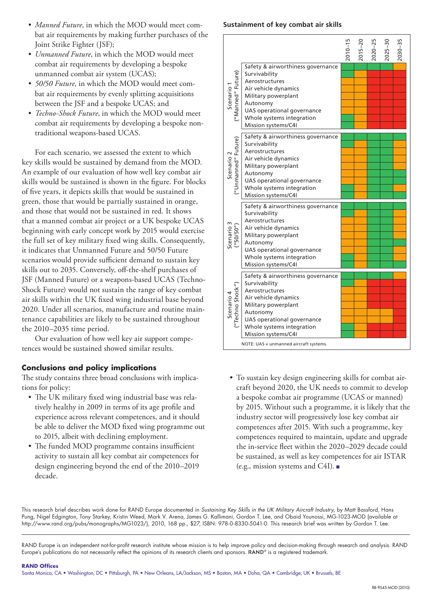- *Manned Future*, in which the MOD would meet combat air requirements by making further purchases of the Joint Strike Fighter (JSF);
- *Unmanned Future*, in which the MOD would meet combat air requirements by developing a bespoke unmanned combat air system (UCAS);
- *50/50 Future*, in which the MOD would meet combat air requirements by evenly splitting acquisitions between the JSF and a bespoke UCAS; and
- *Techno-Shock Future*, in which the MOD would meet combat air requirements by developing a bespoke nontraditional weapons-based UCAS.

For each scenario, we assessed the extent to which key skills would be sustained by demand from the MOD. An example of our evaluation of how well key combat air skills would be sustained is shown in the figure. For blocks of five years, it depicts skills that would be sustained in green, those that would be partially sustained in orange, and those that would not be sustained in red. It shows that a manned combat air project or a UK bespoke UCAS beginning with early concept work by 2015 would exercise the full set of key military fixed wing skills. Consequently, it indicates that Unmanned Future and 50/50 Future scenarios would provide sufficient demand to sustain key skills out to 2035. Conversely, off-the-shelf purchases of JSF (Manned Future) or a weapons-based UCAS (Techno-Shock Future) would not sustain the range of key combat air skills within the UK fixed wing industrial base beyond 2020. Under all scenarios, manufacture and routine maintenance capabilities are likely to be sustained throughout the 2010–2035 time period.

Our evaluation of how well key air support competences would be sustained showed similar results.

### **Conclusions and policy implications**

The study contains three broad conclusions with implications for policy:

- The UK military fixed wing industrial base was relatively healthy in 2009 in terms of its age profile and experience across relevant competences, and it should be able to deliver the MOD fixed wing programme out to 2015, albeit with declining employment.
- The funded MOD programme contains insufficient activity to sustain all key combat air competences for design engineering beyond the end of the 2010–2019 decade.

#### **Sustainment of key combat air skills**

|                                             |                                                                                                                                                                                                                                                             | $-15$ | $015 - 20$ | $-25$ |  |
|---------------------------------------------|-------------------------------------------------------------------------------------------------------------------------------------------------------------------------------------------------------------------------------------------------------------|-------|------------|-------|--|
| Scenario 1<br>("Manned" Future)             | Safety & airworthiness governance<br>Survivability<br>Aerostructures<br>Air vehicle dynamics<br>Military powerplant<br>Autonomy<br>UAS operational governance<br>Whole systems integration<br>Mission systems/C4I                                           |       |            |       |  |
| "Unmanned" Future)<br>Scenario <sub>2</sub> | Safety & airworthiness governance<br>Survivability<br>Aerostructures<br>Air vehicle dynamics<br>Military powerplant<br>Autonomy<br>UAS operational governance<br>Whole systems integration<br>Mission systems/C4I                                           |       |            |       |  |
| Scenario 3<br>("50/50")                     | Safety & airworthiness governance<br>Survivability<br>Aerostructures<br>Air vehicle dynamics<br>Military powerplant<br>Autonomy<br>UAS operational governance<br>Whole systems integration<br>Mission systems/C4I                                           |       |            |       |  |
| Scenario 4<br>("Techno Shock")              | Safety & airworthiness governance<br>Survivability<br>Aerostructures<br>Air vehicle dynamics<br>Military powerplant<br>Autonomy<br>UAS operational governance<br>Whole systems integration<br>Mission systems/C4I<br>NOTE: UAS = unmanned aircraft systems. |       |            |       |  |

• To sustain key design engineering skills for combat aircraft beyond 2020, the UK needs to commit to develop a bespoke combat air programme (UCAS or manned) by 2015. Without such a programme, it is likely that the industry sector will progressively lose key combat air competences after 2015. With such a programme, key competences required to maintain, update and upgrade the in-service fleet within the 2020–2029 decade could be sustained, as well as key competences for air ISTAR (e.g., mission systems and C4I). ■

This research brief describes work done for RAND Europe documented in *Sustaining Key Skills in the UK Military Aircraft Industry*, by Matt Bassford, Hans Pung, Nigel Edgington, Tony Starkey, Kristin Weed, Mark V. Arena, James G. Kallimani, Gordon T. Lee, and Obaid Younossi, MG-1023-MOD (available at [http://www.rand.org/pubs/monographs/MG1023/\)](http://www.rand.org/pubs/monographs/MG1023/), 2010, 168 pp., \$27, ISBN: 978-0-8330-5041-0. This research brief was written by Gordon T. Lee.

RAND Europe is an independent not-for-profit research institute whose mission is to help improve policy and decision-making through research and analysis. RAND Europe's publications do not necessarily reflect the opinions of its research clients and sponsors. RAND® is a registered trademark.